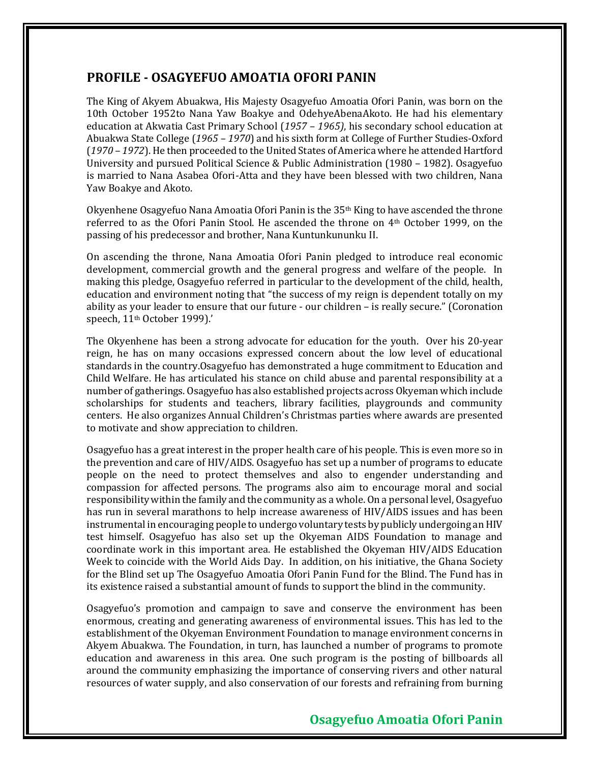## **PROFILE - OSAGYEFUO AMOATIA OFORI PANIN**

The King of Akyem Abuakwa, His Majesty Osagyefuo Amoatia Ofori Panin, was born on the 10th October 1952to Nana Yaw Boakye and OdehyeAbenaAkoto. He had his elementary education at Akwatia Cast Primary School (*1957 – 1965)*, his secondary school education at Abuakwa State College (*1965 – 1970*) and his sixth form at College of Further Studies-Oxford (*1970 – 1972*). He then proceeded to the United States of America where he attended Hartford University and pursued Political Science & Public Administration (1980 – 1982). Osagyefuo is married to Nana Asabea Ofori-Atta and they have been blessed with two children, Nana Yaw Boakye and Akoto.

Okyenhene Osagyefuo Nana Amoatia Ofori Panin is the 35th King to have ascended the throne referred to as the Ofori Panin Stool. He ascended the throne on 4th October 1999, on the passing of his predecessor and brother, Nana Kuntunkununku II.

On ascending the throne, Nana Amoatia Ofori Panin pledged to introduce real economic development, commercial growth and the general progress and welfare of the people. In making this pledge, Osagyefuo referred in particular to the development of the child, health, education and environment noting that "the success of my reign is dependent totally on my ability as your leader to ensure that our future - our children – is really secure." (Coronation speech, 11th October 1999).'

The Okyenhene has been a strong advocate for education for the youth. Over his 20-year reign, he has on many occasions expressed concern about the low level of educational standards in the country.Osagyefuo has demonstrated a huge commitment to Education and Child Welfare. He has articulated his stance on child abuse and parental responsibility at a number of gatherings. Osagyefuo has also established projects across Okyeman which include scholarships for students and teachers, library facilities, playgrounds and community centers. He also organizes Annual Children's Christmas parties where awards are presented to motivate and show appreciation to children.

Osagyefuo has a great interest in the proper health care of his people. This is even more so in the prevention and care of HIV/AIDS. Osagyefuo has set up a number of programs to educate people on the need to protect themselves and also to engender understanding and compassion for affected persons. The programs also aim to encourage moral and social responsibility within the family and the community as a whole. On a personal level, Osagyefuo has run in several marathons to help increase awareness of HIV/AIDS issues and has been instrumental in encouraging people to undergo voluntary tests by publicly undergoing an HIV test himself. Osagyefuo has also set up the Okyeman AIDS Foundation to manage and coordinate work in this important area. He established the Okyeman HIV/AIDS Education Week to coincide with the World Aids Day. In addition, on his initiative, the Ghana Society for the Blind set up The Osagyefuo Amoatia Ofori Panin Fund for the Blind. The Fund has in its existence raised a substantial amount of funds to support the blind in the community.

Osagyefuo's promotion and campaign to save and conserve the environment has been enormous, creating and generating awareness of environmental issues. This has led to the establishment of the Okyeman Environment Foundation to manage environment concerns in Akyem Abuakwa. The Foundation, in turn, has launched a number of programs to promote education and awareness in this area. One such program is the posting of billboards all around the community emphasizing the importance of conserving rivers and other natural resources of water supply, and also conservation of our forests and refraining from burning

## **Osagyefuo Amoatia Ofori Panin**